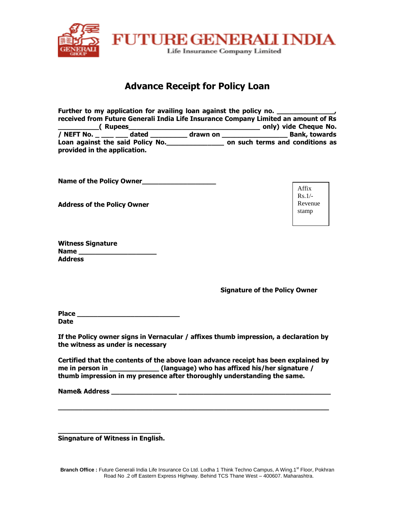

# **Advance Receipt for Policy Loan**

|                              |                                  |          | Further to my application for availing loan against the policy no. ______________<br>received from Future Generali India Life Insurance Company Limited an amount of Rs |
|------------------------------|----------------------------------|----------|-------------------------------------------------------------------------------------------------------------------------------------------------------------------------|
| <b>Nupees</b> (Rupees        |                                  |          | only) vide Cheque No.                                                                                                                                                   |
| / NEFT No. _ ____ ____       | dated                            | drawn on | <b>Bank, towards</b>                                                                                                                                                    |
| provided in the application. | Loan against the said Policy No. |          | on such terms and conditions as                                                                                                                                         |

**Name of the Policy Owner\_\_\_\_\_\_\_\_\_\_\_\_\_\_\_\_\_\_**

**Address of the Policy Owner**

|         | Witness Signature |
|---------|-------------------|
| Name    |                   |
| Address |                   |

**Signature of the Policy Owner**

| Place |  |
|-------|--|
| Date  |  |

**If the Policy owner signs in Vernacular / affixes thumb impression, a declaration by the witness as under is necessary**

**Certified that the contents of the above loan advance receipt has been explained by me in person in \_\_\_\_\_\_\_\_\_\_\_\_ (language) who has affixed his/her signature / thumb impression in my presence after thoroughly understanding the same.**

**\_\_\_\_\_\_\_\_\_\_\_\_\_\_\_\_\_\_\_\_\_\_\_\_\_\_\_\_\_\_\_\_\_\_\_\_\_\_\_\_\_\_\_\_\_\_\_\_\_\_\_\_\_\_\_\_\_\_\_\_\_\_\_\_\_\_**

**Name& Address \_\_\_\_\_\_\_\_\_\_\_\_\_\_\_\_ \_\_\_\_\_\_\_\_\_\_\_\_\_\_\_\_\_\_\_\_\_\_\_\_\_\_\_\_\_\_\_\_\_\_\_\_\_**

**\_\_\_\_\_\_\_\_\_\_\_\_\_\_\_\_\_\_\_\_\_\_\_\_\_ Singnature of Witness in English.**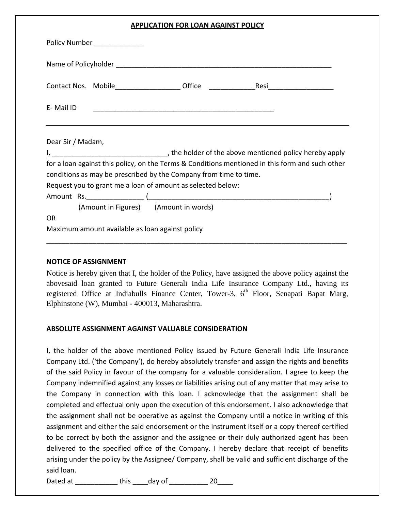## **APPLICATION FOR LOAN AGAINST POLICY**

|                   | Policy Number ______________                                                                    |  |  |  |
|-------------------|-------------------------------------------------------------------------------------------------|--|--|--|
|                   |                                                                                                 |  |  |  |
|                   | Contact Nos. Mobile ___________________Office __________________________________                |  |  |  |
| E-Mail ID         |                                                                                                 |  |  |  |
| Dear Sir / Madam, | for a loan against this policy, on the Terms & Conditions mentioned in this form and such other |  |  |  |
|                   | conditions as may be prescribed by the Company from time to time.                               |  |  |  |
|                   | Request you to grant me a loan of amount as selected below:                                     |  |  |  |
|                   |                                                                                                 |  |  |  |
|                   | (Amount in Figures) (Amount in words)                                                           |  |  |  |
| <b>OR</b>         |                                                                                                 |  |  |  |
|                   | Maximum amount available as loan against policy                                                 |  |  |  |

### **NOTICE OF ASSIGNMENT**

Notice is hereby given that I, the holder of the Policy, have assigned the above policy against the abovesaid loan granted to Future Generali India Life Insurance Company Ltd., having its registered Office at Indiabulls Finance Center, Tower-3, 6<sup>th</sup> Floor, Senapati Bapat Marg, Elphinstone (W), Mumbai - 400013, Maharashtra.

### **ABSOLUTE ASSIGNMENT AGAINST VALUABLE CONSIDERATION**

I, the holder of the above mentioned Policy issued by Future Generali India Life Insurance Company Ltd. ('the Company'), do hereby absolutely transfer and assign the rights and benefits of the said Policy in favour of the company for a valuable consideration. I agree to keep the Company indemnified against any losses or liabilities arising out of any matter that may arise to the Company in connection with this loan. I acknowledge that the assignment shall be completed and effectual only upon the execution of this endorsement. I also acknowledge that the assignment shall not be operative as against the Company until a notice in writing of this assignment and either the said endorsement or the instrument itself or a copy thereof certified to be correct by both the assignor and the assignee or their duly authorized agent has been delivered to the specified office of the Company. I hereby declare that receipt of benefits arising under the policy by the Assignee/ Company, shall be valid and sufficient discharge of the said loan.

Dated at \_\_\_\_\_\_\_\_\_\_\_\_\_\_ this \_\_\_\_\_day of \_\_\_\_\_\_\_\_\_\_\_\_\_ 20\_\_\_\_\_\_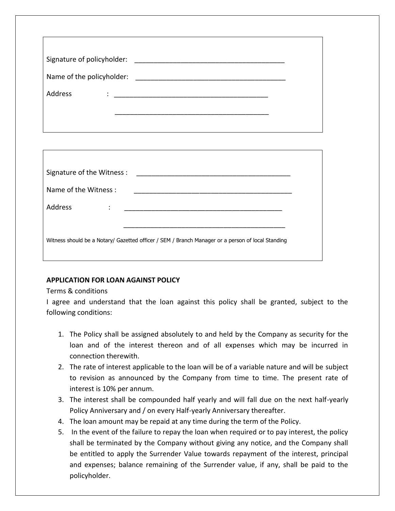| Signature of policyholder: |                                                                                                                                                                                                                                     |
|----------------------------|-------------------------------------------------------------------------------------------------------------------------------------------------------------------------------------------------------------------------------------|
| Name of the policyholder:  |                                                                                                                                                                                                                                     |
| Address                    | $\ddot{\cdot}$ . The contract of the contract of the contract of the contract of the contract of the contract of the contract of the contract of the contract of the contract of the contract of the contract of the contract of th |
|                            |                                                                                                                                                                                                                                     |
|                            |                                                                                                                                                                                                                                     |

| Signature of the Witness :                                                                        |  |  |  |  |
|---------------------------------------------------------------------------------------------------|--|--|--|--|
| Name of the Witness:                                                                              |  |  |  |  |
| Address<br>٠                                                                                      |  |  |  |  |
|                                                                                                   |  |  |  |  |
| Witness should be a Notary/ Gazetted officer / SEM / Branch Manager or a person of local Standing |  |  |  |  |
|                                                                                                   |  |  |  |  |

# **APPLICATION FOR LOAN AGAINST POLICY**

## Terms & conditions

I agree and understand that the loan against this policy shall be granted, subject to the following conditions:

- 1. The Policy shall be assigned absolutely to and held by the Company as security for the loan and of the interest thereon and of all expenses which may be incurred in connection therewith.
- 2. The rate of interest applicable to the loan will be of a variable nature and will be subject to revision as announced by the Company from time to time. The present rate of interest is 10% per annum.
- 3. The interest shall be compounded half yearly and will fall due on the next half-yearly Policy Anniversary and / on every Half-yearly Anniversary thereafter.
- 4. The loan amount may be repaid at any time during the term of the Policy.
- 5. In the event of the failure to repay the loan when required or to pay interest, the policy shall be terminated by the Company without giving any notice, and the Company shall be entitled to apply the Surrender Value towards repayment of the interest, principal and expenses; balance remaining of the Surrender value, if any, shall be paid to the policyholder.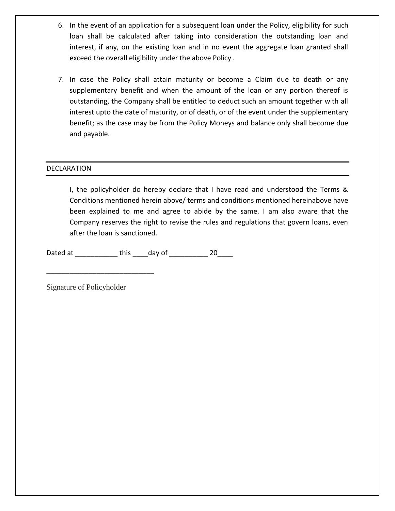- 6. In the event of an application for a subsequent loan under the Policy, eligibility for such loan shall be calculated after taking into consideration the outstanding loan and interest, if any, on the existing loan and in no event the aggregate loan granted shall exceed the overall eligibility under the above Policy .
- 7. In case the Policy shall attain maturity or become a Claim due to death or any supplementary benefit and when the amount of the loan or any portion thereof is outstanding, the Company shall be entitled to deduct such an amount together with all interest upto the date of maturity, or of death, or of the event under the supplementary benefit; as the case may be from the Policy Moneys and balance only shall become due and payable.

## DECLARATION

I, the policyholder do hereby declare that I have read and understood the Terms & Conditions mentioned herein above/ terms and conditions mentioned hereinabove have been explained to me and agree to abide by the same. I am also aware that the Company reserves the right to revise the rules and regulations that govern loans, even after the loan is sanctioned.

Dated at \_\_\_\_\_\_\_\_\_\_\_ this \_\_\_\_day of \_\_\_\_\_\_\_\_\_\_ 20\_\_\_\_

\_\_\_\_\_\_\_\_\_\_\_\_\_\_\_\_\_\_\_\_\_\_\_\_\_\_\_\_

Signature of Policyholder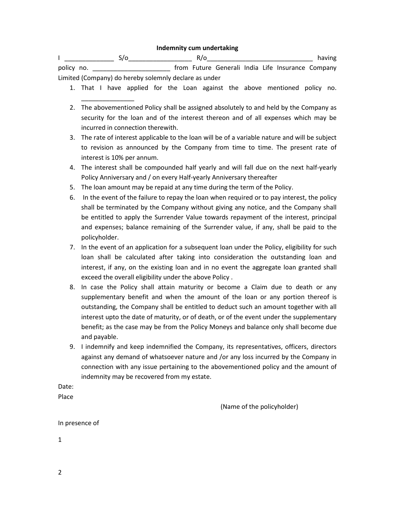#### **Indemnity cum undertaking**

I \_\_\_\_\_\_\_\_\_\_\_\_\_\_ S/o\_\_\_\_\_\_\_\_\_\_\_\_\_\_\_\_\_\_ R/o\_\_\_\_\_\_\_\_\_\_\_\_\_\_\_\_\_\_\_\_\_\_\_\_\_\_\_\_\_\_ having policy no. \_\_\_\_\_\_\_\_\_\_\_\_\_\_\_\_\_\_\_\_\_\_ from Future Generali India Life Insurance Company Limited (Company) do hereby solemnly declare as under

- 1. That I have applied for the Loan against the above mentioned policy no.
- 2. The abovementioned Policy shall be assigned absolutely to and held by the Company as security for the loan and of the interest thereon and of all expenses which may be incurred in connection therewith.
- 3. The rate of interest applicable to the loan will be of a variable nature and will be subject to revision as announced by the Company from time to time. The present rate of interest is 10% per annum.
- 4. The interest shall be compounded half yearly and will fall due on the next half-yearly Policy Anniversary and / on every Half-yearly Anniversary thereafter
- 5. The loan amount may be repaid at any time during the term of the Policy.

\_\_\_\_\_\_\_\_\_\_\_\_\_\_\_

- 6. In the event of the failure to repay the loan when required or to pay interest, the policy shall be terminated by the Company without giving any notice, and the Company shall be entitled to apply the Surrender Value towards repayment of the interest, principal and expenses; balance remaining of the Surrender value, if any, shall be paid to the policyholder.
- 7. In the event of an application for a subsequent loan under the Policy, eligibility for such loan shall be calculated after taking into consideration the outstanding loan and interest, if any, on the existing loan and in no event the aggregate loan granted shall exceed the overall eligibility under the above Policy .
- 8. In case the Policy shall attain maturity or become a Claim due to death or any supplementary benefit and when the amount of the loan or any portion thereof is outstanding, the Company shall be entitled to deduct such an amount together with all interest upto the date of maturity, or of death, or of the event under the supplementary benefit; as the case may be from the Policy Moneys and balance only shall become due and payable.
- 9. I indemnify and keep indemnified the Company, its representatives, officers, directors against any demand of whatsoever nature and /or any loss incurred by the Company in connection with any issue pertaining to the abovementioned policy and the amount of indemnity may be recovered from my estate.

Date: Place

(Name of the policyholder)

In presence of

1